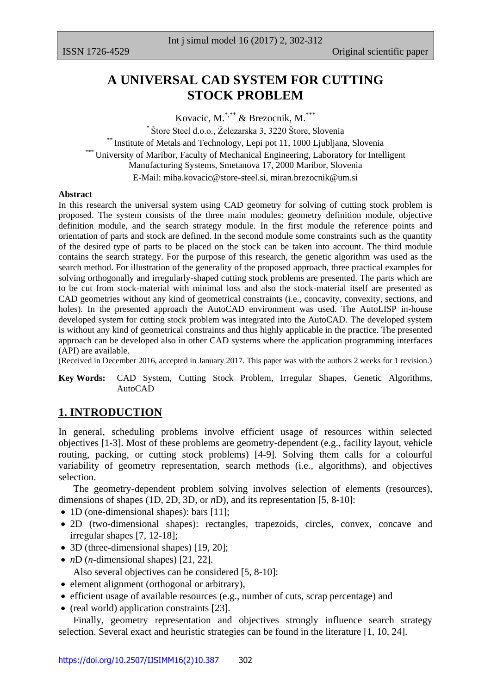# **A UNIVERSAL CAD SYSTEM FOR CUTTING STOCK PROBLEM**

Kovacic, M.\*\*\* & Brezocnik, M.\*\*\*

\* Štore Steel d.o.o., Železarska 3, 3220 Štore, Slovenia \*\* Institute of Metals and Technology, Lepi pot 11, 1000 Ljubljana, Slovenia <sup>\*</sup> University of Maribor, Faculty of Mechanical Engineering, Laboratory for Intelligent Manufacturing Systems, Smetanova 17, 2000 Maribor, Slovenia E-Mail: [miha.kovacic@store-steel.si,](mailto:miha.kovacic@store-steel.si) [miran.brezocnik@um.si](mailto:miran.brezocnik@um.si)

#### **Abstract**

In this research the universal system using CAD geometry for solving of cutting stock problem is proposed. The system consists of the three main modules: geometry definition module, objective definition module, and the search strategy module. In the first module the reference points and orientation of parts and stock are defined. In the second module some constraints such as the quantity of the desired type of parts to be placed on the stock can be taken into account. The third module contains the search strategy. For the purpose of this research, the genetic algorithm was used as the search method. For illustration of the generality of the proposed approach, three practical examples for solving orthogonally and irregularly-shaped cutting stock problems are presented. The parts which are to be cut from stock-material with minimal loss and also the stock-material itself are presented as CAD geometries without any kind of geometrical constraints (i.e., concavity, convexity, sections, and holes). In the presented approach the AutoCAD environment was used. The AutoLISP in-house developed system for cutting stock problem was integrated into the AutoCAD. The developed system is without any kind of geometrical constraints and thus highly applicable in the practice. The presented approach can be developed also in other CAD systems where the application programming interfaces (API) are available.

(Received in December 2016, accepted in January 2017. This paper was with the authors 2 weeks for 1 revision.)

**Key Words:** CAD System, Cutting Stock Problem, Irregular Shapes, Genetic Algorithms, AutoCAD

## **1. INTRODUCTION**

In general, scheduling problems involve efficient usage of resources within selected objectives [1-3]. Most of these problems are geometry-dependent (e.g., facility layout, vehicle routing, packing, or cutting stock problems) [4-9]. Solving them calls for a colourful variability of geometry representation, search methods (i.e., algorithms), and objectives selection.

 The geometry-dependent problem solving involves selection of elements (resources), dimensions of shapes (1D, 2D, 3D, or *n*D), and its representation [5, 8-10]:

- 1D (one-dimensional shapes): bars [11];
- 2D (two-dimensional shapes): rectangles, trapezoids, circles, convex, concave and irregular shapes [7, 12-18];
- 3D (three-dimensional shapes) [19, 20];
- *nD* (*n*-dimensional shapes) [21, 22]. Also several objectives can be considered [5, 8-10]:
- element alignment (orthogonal or arbitrary),
- efficient usage of available resources (e.g., number of cuts, scrap percentage) and
- (real world) application constraints [23].

 Finally, geometry representation and objectives strongly influence search strategy selection. Several exact and heuristic strategies can be found in the literature [1, 10, 24].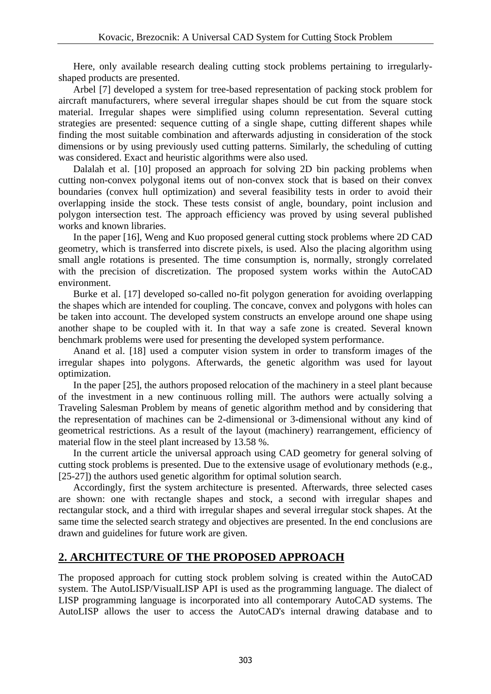Here, only available research dealing cutting stock problems pertaining to irregularlyshaped products are presented.

 Arbel [7] developed a system for tree-based representation of packing stock problem for aircraft manufacturers, where several irregular shapes should be cut from the square stock material. Irregular shapes were simplified using column representation. Several cutting strategies are presented: sequence cutting of a single shape, cutting different shapes while finding the most suitable combination and afterwards adjusting in consideration of the stock dimensions or by using previously used cutting patterns. Similarly, the scheduling of cutting was considered. Exact and heuristic algorithms were also used.

 Dalalah et al. [10] proposed an approach for solving 2D bin packing problems when cutting non-convex polygonal items out of non-convex stock that is based on their convex boundaries (convex hull optimization) and several feasibility tests in order to avoid their overlapping inside the stock. These tests consist of angle, boundary, point inclusion and polygon intersection test. The approach efficiency was proved by using several published works and known libraries.

 In the paper [16], Weng and Kuo proposed general cutting stock problems where 2D CAD geometry, which is transferred into discrete pixels, is used. Also the placing algorithm using small angle rotations is presented. The time consumption is, normally, strongly correlated with the precision of discretization. The proposed system works within the AutoCAD environment.

 Burke et al. [17] developed so-called no-fit polygon generation for avoiding overlapping the shapes which are intended for coupling. The concave, convex and polygons with holes can be taken into account. The developed system constructs an envelope around one shape using another shape to be coupled with it. In that way a safe zone is created. Several known benchmark problems were used for presenting the developed system performance.

 Anand et al. [18] used a computer vision system in order to transform images of the irregular shapes into polygons. Afterwards, the genetic algorithm was used for layout optimization.

 In the paper [25], the authors proposed relocation of the machinery in a steel plant because of the investment in a new continuous rolling mill. The authors were actually solving a Traveling Salesman Problem by means of genetic algorithm method and by considering that the representation of machines can be 2-dimensional or 3-dimensional without any kind of geometrical restrictions. As a result of the layout (machinery) rearrangement, efficiency of material flow in the steel plant increased by 13.58 %.

 In the current article the universal approach using CAD geometry for general solving of cutting stock problems is presented. Due to the extensive usage of evolutionary methods (e.g., [25-27]) the authors used genetic algorithm for optimal solution search.

 Accordingly, first the system architecture is presented. Afterwards, three selected cases are shown: one with rectangle shapes and stock, a second with irregular shapes and rectangular stock, and a third with irregular shapes and several irregular stock shapes. At the same time the selected search strategy and objectives are presented. In the end conclusions are drawn and guidelines for future work are given.

## **2. ARCHITECTURE OF THE PROPOSED APPROACH**

The proposed approach for cutting stock problem solving is created within the AutoCAD system. The AutoLISP/VisualLISP API is used as the programming language. The dialect of LISP programming language is incorporated into all contemporary AutoCAD systems. The AutoLISP allows the user to access the AutoCAD's internal drawing database and to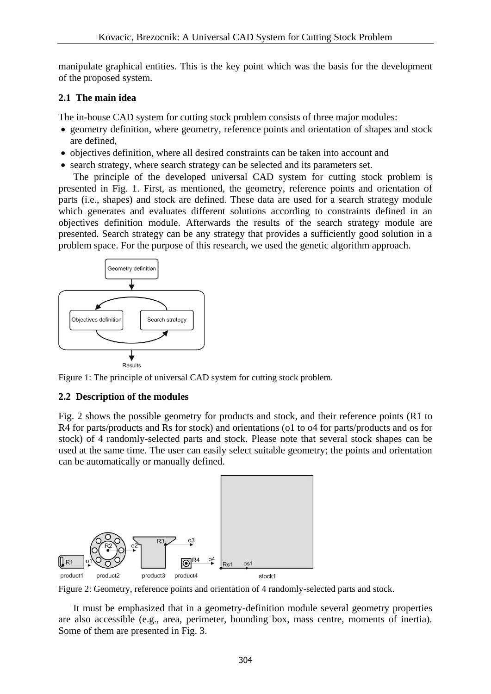manipulate graphical entities. This is the key point which was the basis for the development of the proposed system.

## **2.1 The main idea**

The in-house CAD system for cutting stock problem consists of three major modules:

- geometry definition, where geometry, reference points and orientation of shapes and stock are defined,
- objectives definition, where all desired constraints can be taken into account and
- search strategy, where search strategy can be selected and its parameters set.

 The principle of the developed universal CAD system for cutting stock problem is presented in Fig. 1. First, as mentioned, the geometry, reference points and orientation of parts (i.e., shapes) and stock are defined. These data are used for a search strategy module which generates and evaluates different solutions according to constraints defined in an objectives definition module. Afterwards the results of the search strategy module are presented. Search strategy can be any strategy that provides a sufficiently good solution in a problem space. For the purpose of this research, we used the genetic algorithm approach.



Figure 1: The principle of universal CAD system for cutting stock problem.

## **2.2 Description of the modules**

Fig. 2 shows the possible geometry for products and stock, and their reference points (R1 to R4 for parts/products and Rs for stock) and orientations (o1 to o4 for parts/products and os for stock) of 4 randomly-selected parts and stock. Please note that several stock shapes can be used at the same time. The user can easily select suitable geometry; the points and orientation can be automatically or manually defined.



Figure 2: Geometry, reference points and orientation of 4 randomly-selected parts and stock.

 It must be emphasized that in a geometry-definition module several geometry properties are also accessible (e.g., area, perimeter, bounding box, mass centre, moments of inertia). Some of them are presented in Fig. 3.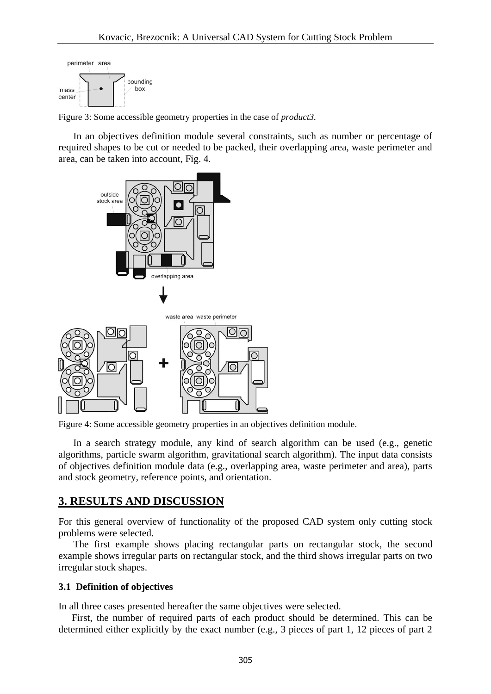

Figure 3: Some accessible geometry properties in the case of *product3.*

 In an objectives definition module several constraints, such as number or percentage of required shapes to be cut or needed to be packed, their overlapping area, waste perimeter and area, can be taken into account, Fig. 4.



Figure 4: Some accessible geometry properties in an objectives definition module.

 In a search strategy module, any kind of search algorithm can be used (e.g., genetic algorithms, particle swarm algorithm, gravitational search algorithm). The input data consists of objectives definition module data (e.g., overlapping area, waste perimeter and area), parts and stock geometry, reference points, and orientation.

### **3. RESULTS AND DISCUSSION**

For this general overview of functionality of the proposed CAD system only cutting stock problems were selected.

 The first example shows placing rectangular parts on rectangular stock, the second example shows irregular parts on rectangular stock, and the third shows irregular parts on two irregular stock shapes.

#### **3.1 Definition of objectives**

In all three cases presented hereafter the same objectives were selected.

 First, the number of required parts of each product should be determined. This can be determined either explicitly by the exact number (e.g., 3 pieces of part 1, 12 pieces of part 2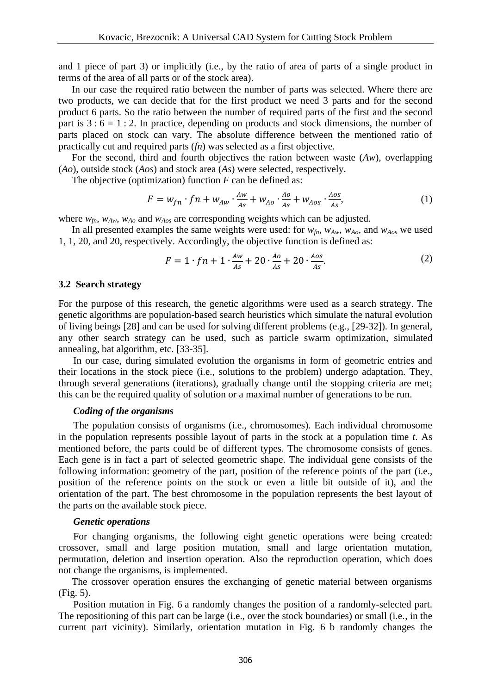and 1 piece of part 3) or implicitly (i.e., by the ratio of area of parts of a single product in terms of the area of all parts or of the stock area).

 In our case the required ratio between the number of parts was selected. Where there are two products, we can decide that for the first product we need 3 parts and for the second product 6 parts. So the ratio between the number of required parts of the first and the second part is  $3:6 = 1:2$ . In practice, depending on products and stock dimensions, the number of parts placed on stock can vary. The absolute difference between the mentioned ratio of practically cut and required parts (*fn*) was selected as a first objective.

 For the second, third and fourth objectives the ration between waste (*Aw*), overlapping (*Ao*), outside stock (*Aos*) and stock area (*As*) were selected, respectively.

The objective (optimization) function *F* can be defined as:

$$
F = w_{fn} \cdot fn + w_{Aw} \cdot \frac{Aw}{As} + w_{Ao} \cdot \frac{Ao}{As} + w_{Aos} \cdot \frac{Aos}{As},
$$
\n(1)

where *wfn, wAw*, *wAo* and *wAos* are corresponding weights which can be adjusted.

In all presented examples the same weights were used: for  $w_{fn}$ ,  $w_{Aw}$ ,  $w_{Ao}$ , and  $w_{Ao}$  we used 1, 1, 20, and 20, respectively. Accordingly, the objective function is defined as:

$$
F = 1 \cdot fn + 1 \cdot \frac{Aw}{As} + 20 \cdot \frac{Ao}{As} + 20 \cdot \frac{Aos}{As}.
$$

#### **3.2 Search strategy**

For the purpose of this research, the genetic algorithms were used as a search strategy. The genetic algorithms are population-based search heuristics which simulate the natural evolution of living beings [28] and can be used for solving different problems (e.g., [29-32]). In general, any other search strategy can be used, such as particle swarm optimization, simulated annealing, bat algorithm, etc. [33-35].

 In our case, during simulated evolution the organisms in form of geometric entries and their locations in the stock piece (i.e., solutions to the problem) undergo adaptation. They, through several generations (iterations), gradually change until the stopping criteria are met; this can be the required quality of solution or a maximal number of generations to be run.

#### *Coding of the organisms*

 The population consists of organisms (i.e., chromosomes). Each individual chromosome in the population represents possible layout of parts in the stock at a population time *t*. As mentioned before, the parts could be of different types. The chromosome consists of genes. Each gene is in fact a part of selected geometric shape. The individual gene consists of the following information: geometry of the part, position of the reference points of the part (i.e., position of the reference points on the stock or even a little bit outside of it), and the orientation of the part. The best chromosome in the population represents the best layout of the parts on the available stock piece.

#### *Genetic operations*

 For changing organisms, the following eight genetic operations were being created: crossover, small and large position mutation, small and large orientation mutation, permutation, deletion and insertion operation. Also the reproduction operation, which does not change the organisms, is implemented.

 The crossover operation ensures the exchanging of genetic material between organisms (Fig. 5).

 Position mutation in Fig. 6 a randomly changes the position of a randomly-selected part. The repositioning of this part can be large (i.e., over the stock boundaries) or small (i.e., in the current part vicinity). Similarly, orientation mutation in Fig. 6 b randomly changes the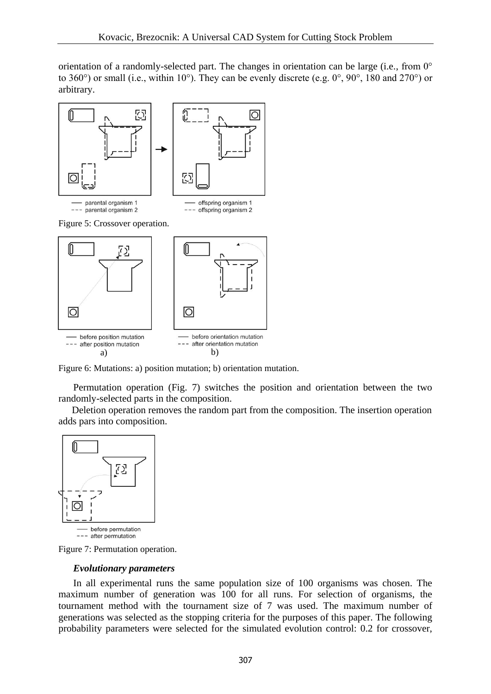orientation of a randomly-selected part. The changes in orientation can be large (i.e., from 0° to 360°) or small (i.e., within 10°). They can be evenly discrete (e.g. 0°, 90°, 180 and 270°) or arbitrary.



- before position mutation --- after position mutation a) b)



Figure 6: Mutations: a) position mutation; b) orientation mutation.

 Permutation operation (Fig. 7) switches the position and orientation between the two randomly-selected parts in the composition.

 Deletion operation removes the random part from the composition. The insertion operation adds pars into composition.



Figure 7: Permutation operation.

#### *Evolutionary parameters*

 In all experimental runs the same population size of 100 organisms was chosen. The maximum number of generation was 100 for all runs. For selection of organisms, the tournament method with the tournament size of 7 was used. The maximum number of generations was selected as the stopping criteria for the purposes of this paper. The following probability parameters were selected for the simulated evolution control: 0.2 for crossover,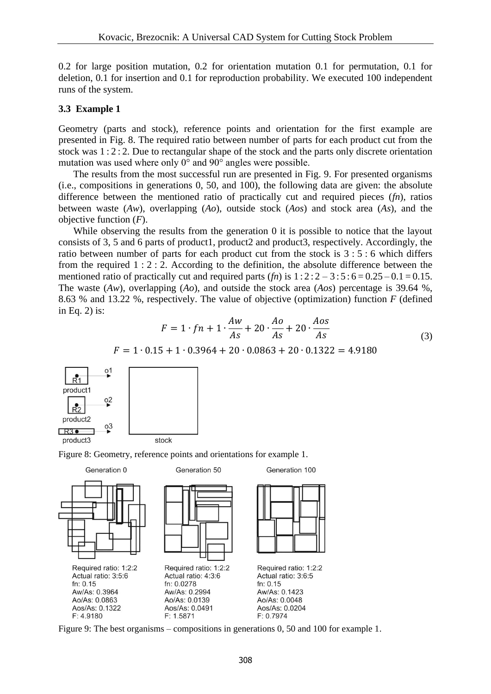0.2 for large position mutation, 0.2 for orientation mutation 0.1 for permutation, 0.1 for deletion, 0.1 for insertion and 0.1 for reproduction probability. We executed 100 independent runs of the system.

### **3.3 Example 1**

Geometry (parts and stock), reference points and orientation for the first example are presented in Fig. 8. The required ratio between number of parts for each product cut from the stock was 1 : 2 : 2. Due to rectangular shape of the stock and the parts only discrete orientation mutation was used where only 0° and 90° angles were possible.

 The results from the most successful run are presented in Fig. 9. For presented organisms (i.e., compositions in generations 0, 50, and 100), the following data are given: the absolute difference between the mentioned ratio of practically cut and required pieces (*fn*), ratios between waste (*Aw*), overlapping (*Ao*), outside stock (*Aos*) and stock area (*As*), and the objective function (*F*).

 While observing the results from the generation 0 it is possible to notice that the layout consists of 3, 5 and 6 parts of product1, product2 and product3, respectively. Accordingly, the ratio between number of parts for each product cut from the stock is 3 : 5 : 6 which differs from the required 1 : 2 : 2. According to the definition, the absolute difference between the mentioned ratio of practically cut and required parts  $(*fn*)$  is  $1:2:2-3:5:6=0.25-0.1=0.15$ . The waste (*Aw*), overlapping (*Ao*), and outside the stock area (*Aos*) percentage is 39.64 %, 8.63 % and 13.22 %, respectively. The value of objective (optimization) function *F* (defined in Eq. 2) is:

$$
F = 1 \cdot fn + 1 \cdot \frac{Aw}{As} + 20 \cdot \frac{Ao}{As} + 20 \cdot \frac{Aos}{As}
$$
  
\n
$$
F = 1 \cdot 0.15 + 1 \cdot 0.3964 + 20 \cdot 0.0863 + 20 \cdot 0.1322 = 4.9180
$$
  
\n
$$
\underbrace{O_1^1}_{O_2^2}
$$
 (3)



Figure 8: Geometry, reference points and orientations for example 1.



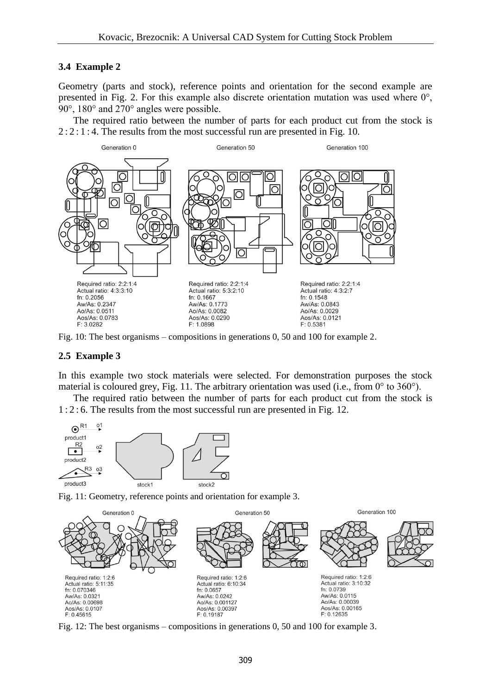## **3.4 Example 2**

Geometry (parts and stock), reference points and orientation for the second example are presented in Fig. 2. For this example also discrete orientation mutation was used where  $0^{\circ}$ , 90°, 180° and 270° angles were possible.

 The required ratio between the number of parts for each product cut from the stock is  $2:2:1:4$ . The results from the most successful run are presented in Fig. 10.



Fig. 10: The best organisms – compositions in generations 0, 50 and 100 for example 2.

### **2.5 Example 3**

In this example two stock materials were selected. For demonstration purposes the stock material is coloured grey, Fig. 11. The arbitrary orientation was used (i.e., from 0° to 360°).

 The required ratio between the number of parts for each product cut from the stock is 1 : 2 : 6. The results from the most successful run are presented in Fig. 12.



Fig. 11: Geometry, reference points and orientation for example 3.



Fig. 12: The best organisms – compositions in generations 0, 50 and 100 for example 3.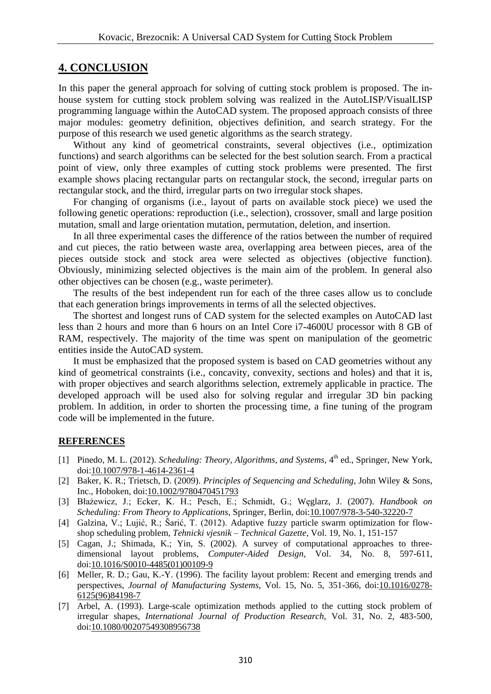## **4. CONCLUSION**

In this paper the general approach for solving of cutting stock problem is proposed. The inhouse system for cutting stock problem solving was realized in the AutoLISP/VisualLISP programming language within the AutoCAD system. The proposed approach consists of three major modules: geometry definition, objectives definition, and search strategy. For the purpose of this research we used genetic algorithms as the search strategy.

 Without any kind of geometrical constraints, several objectives (i.e., optimization functions) and search algorithms can be selected for the best solution search. From a practical point of view, only three examples of cutting stock problems were presented. The first example shows placing rectangular parts on rectangular stock, the second, irregular parts on rectangular stock, and the third, irregular parts on two irregular stock shapes.

 For changing of organisms (i.e., layout of parts on available stock piece) we used the following genetic operations: reproduction (i.e., selection), crossover, small and large position mutation, small and large orientation mutation, permutation, deletion, and insertion.

 In all three experimental cases the difference of the ratios between the number of required and cut pieces, the ratio between waste area, overlapping area between pieces, area of the pieces outside stock and stock area were selected as objectives (objective function). Obviously, minimizing selected objectives is the main aim of the problem. In general also other objectives can be chosen (e.g., waste perimeter).

 The results of the best independent run for each of the three cases allow us to conclude that each generation brings improvements in terms of all the selected objectives.

 The shortest and longest runs of CAD system for the selected examples on AutoCAD last less than 2 hours and more than 6 hours on an Intel Core i7-4600U processor with 8 GB of RAM, respectively. The majority of the time was spent on manipulation of the geometric entities inside the AutoCAD system.

 It must be emphasized that the proposed system is based on CAD geometries without any kind of geometrical constraints (i.e., concavity, convexity, sections and holes) and that it is, with proper objectives and search algorithms selection, extremely applicable in practice. The developed approach will be used also for solving regular and irregular 3D bin packing problem. In addition, in order to shorten the processing time, a fine tuning of the program code will be implemented in the future.

## **REFERENCES**

- [1] Pinedo, M. L. (2012). *Scheduling: Theory, Algorithms, and Systems*, 4<sup>th</sup> ed., Springer, New York, doi[:10.1007/978-1-4614-2361-4](https://doi.org/10.1007/978-1-4614-2361-4)
- [2] Baker, K. R.; Trietsch, D. (2009). *Principles of Sequencing and Scheduling*, John Wiley & Sons, Inc., Hoboken, doi[:10.1002/9780470451793](https://doi.org/10.1002/9780470451793)
- [3] Błażewicz, J.; Ecker, K. H.; Pesch, E.; Schmidt, G.; Węglarz, J. (2007). *Handbook on Scheduling: From Theory to Applications*, Springer, Berlin, doi[:10.1007/978-3-540-32220-7](https://doi.org/10.1007/978-3-540-32220-7)
- [4] Galzina, V.; Lujić, R.; Šarić, T. (2012). Adaptive fuzzy particle swarm optimization for flowshop scheduling problem, *Tehnicki vjesnik – Technical Gazette*, Vol. 19, No. 1, 151-157
- [5] Cagan, J.; Shimada, K.; Yin, S. (2002). A survey of computational approaches to threedimensional layout problems, *Computer-Aided Design*, Vol. 34, No. 8, 597-611, doi[:10.1016/S0010-4485\(01\)00109-9](https://doi.org/10.1016/S0010-4485(01)00109-9)
- [6] Meller, R. D.; Gau, K.-Y. (1996). The facility layout problem: Recent and emerging trends and perspectives, *Journal of Manufacturing Systems*, Vol. 15, No. 5, 351-366, doi[:10.1016/0278-](https://doi.org/10.1016/0278-6125(96)84198-7) [6125\(96\)84198-7](https://doi.org/10.1016/0278-6125(96)84198-7)
- [7] Arbel, A. (1993). Large-scale optimization methods applied to the cutting stock problem of irregular shapes, *International Journal of Production Research*, Vol. 31, No. 2, 483-500, doi[:10.1080/00207549308956738](https://doi.org/10.1080/00207549308956738)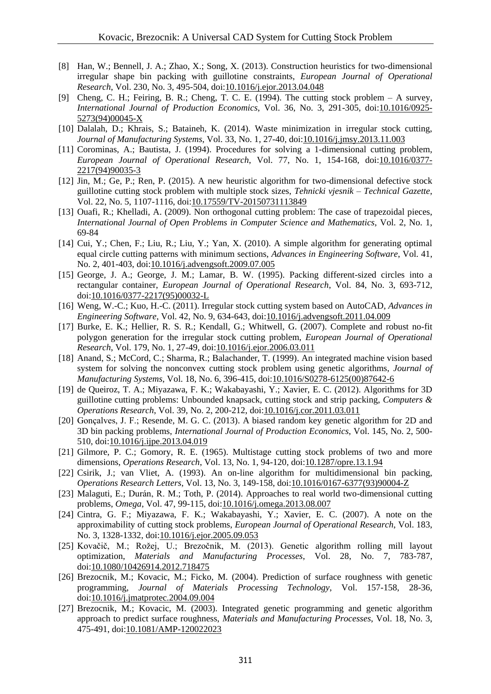- [8] Han, W.; Bennell, J. A.; Zhao, X.; Song, X. (2013). Construction heuristics for two-dimensional irregular shape bin packing with guillotine constraints, *European Journal of Operational Research*, Vol. 230, No. 3, 495-504, doi[:10.1016/j.ejor.2013.04.048](https://doi.org/10.1016/j.ejor.2013.04.048)
- [9] Cheng, C. H.; Feiring, B. R.; Cheng, T. C. E. (1994). The cutting stock problem A survey, *International Journal of Production Economics*, Vol. 36, No. 3, 291-305, doi[:10.1016/0925-](https://doi.org/10.1016/0925-5273(94)00045-X) [5273\(94\)00045-X](https://doi.org/10.1016/0925-5273(94)00045-X)
- [10] Dalalah, D.; Khrais, S.; Bataineh, K. (2014). Waste minimization in irregular stock cutting, *Journal of Manufacturing Systems*, Vol. 33, No. 1, 27-40, doi[:10.1016/j.jmsy.2013.11.003](https://doi.org/10.1016/j.jmsy.2013.11.003)
- [11] Corominas, A.; Bautista, J. (1994). Procedures for solving a 1-dimensional cutting problem, *European Journal of Operational Research*, Vol. 77, No. 1, 154-168, doi[:10.1016/0377-](https://doi.org/10.1016/0377-2217(94)90035-3) [2217\(94\)90035-3](https://doi.org/10.1016/0377-2217(94)90035-3)
- [12] Jin, M.; Ge, P.; Ren, P. (2015). A new heuristic algorithm for two-dimensional defective stock guillotine cutting stock problem with multiple stock sizes, *Tehnicki vjesnik – Technical Gazette*, Vol. 22, No. 5, 1107-1116, doi[:10.17559/TV-20150731113849](https://doi.org/10.17559/TV-20150731113849)
- [13] Ouafi, R.; Khelladi, A. (2009). Non orthogonal cutting problem: The case of trapezoidal pieces, *International Journal of Open Problems in Computer Science and Mathematics*, Vol. 2, No. 1, 69-84
- [14] Cui, Y.; Chen, F.; Liu, R.; Liu, Y.; Yan, X. (2010). A simple algorithm for generating optimal equal circle cutting patterns with minimum sections, *Advances in Engineering Software*, Vol. 41, No. 2, 401-403, doi[:10.1016/j.advengsoft.2009.07.005](https://doi.org/10.1016/j.advengsoft.2009.07.005)
- [15] George, J. A.; George, J. M.; Lamar, B. W. (1995). Packing different-sized circles into a rectangular container, *European Journal of Operational Research*, Vol. 84, No. 3, 693-712, doi[:10.1016/0377-2217\(95\)00032-L](https://doi.org/10.1016/0377-2217(95)00032-L)
- [16] Weng, W.-C.; Kuo, H.-C. (2011). Irregular stock cutting system based on AutoCAD, *Advances in Engineering Software*, Vol. 42, No. 9, 634-643, doi[:10.1016/j.advengsoft.2011.04.009](https://doi.org/10.1016/j.advengsoft.2011.04.009)
- [17] Burke, E. K.; Hellier, R. S. R.; Kendall, G.; Whitwell, G. (2007). Complete and robust no-fit polygon generation for the irregular stock cutting problem, *European Journal of Operational Research*, Vol. 179, No. 1, 27-49, doi[:10.1016/j.ejor.2006.03.011](https://doi.org/10.1016/j.ejor.2006.03.011)
- [18] Anand, S.; McCord, C.; Sharma, R.; Balachander, T. (1999). An integrated machine vision based system for solving the nonconvex cutting stock problem using genetic algorithms, *Journal of Manufacturing Systems*, Vol. 18, No. 6, 396-415, doi[:10.1016/S0278-6125\(00\)87642-6](https://doi.org/10.1016/S0278-6125(00)87642-6)
- [19] de Queiroz, T. A.; Miyazawa, F. K.; Wakabayashi, Y.; Xavier, E. C. (2012). Algorithms for 3D guillotine cutting problems: Unbounded knapsack, cutting stock and strip packing, *Computers & Operations Research*, Vol. 39, No. 2, 200-212, doi[:10.1016/j.cor.2011.03.011](https://doi.org/10.1016/j.cor.2011.03.011)
- [20] Gonçalves, J. F.; Resende, M. G. C. (2013). A biased random key genetic algorithm for 2D and 3D bin packing problems, *International Journal of Production Economics*, Vol. 145, No. 2, 500- 510, doi[:10.1016/j.ijpe.2013.04.019](https://doi.org/10.1016/j.ijpe.2013.04.019)
- [21] Gilmore, P. C.; Gomory, R. E. (1965). Multistage cutting stock problems of two and more dimensions, *Operations Research*, Vol. 13, No. 1, 94-120, doi[:10.1287/opre.13.1.94](https://doi.org/10.1287/opre.13.1.94)
- [22] Csirik, J.; van Vliet, A. (1993). An on-line algorithm for multidimensional bin packing, *Operations Research Letters*, Vol. 13, No. 3, 149-158, doi[:10.1016/0167-6377\(93\)90004-Z](https://doi.org/10.1016/0167-6377(93)90004-Z)
- [23] Malaguti, E.; Durán, R. M.; Toth, P. (2014). Approaches to real world two-dimensional cutting problems, *Omega*, Vol. 47, 99-115, doi[:10.1016/j.omega.2013.08.007](https://doi.org/10.1016/j.omega.2013.08.007)
- [24] Cintra, G. F.; Miyazawa, F. K.; Wakabayashi, Y.; Xavier, E. C. (2007). A note on the approximability of cutting stock problems, *European Journal of Operational Research*, Vol. 183, No. 3, 1328-1332, doi[:10.1016/j.ejor.2005.09.053](https://doi.org/10.1016/j.ejor.2005.09.053)
- [25] Kovačič, M.; Rožej, U.; Brezočnik, M. (2013). Genetic algorithm rolling mill layout optimization, *Materials and Manufacturing Processes*, Vol. 28, No. 7, 783-787, doi[:10.1080/10426914.2012.718475](https://doi.org/10.1080/10426914.2012.718475)
- [26] Brezocnik, M.; Kovacic, M.; Ficko, M. (2004). Prediction of surface roughness with genetic programming, *Journal of Materials Processing Technology*, Vol. 157-158, 28-36, doi[:10.1016/j.jmatprotec.2004.09.004](https://doi.org/10.1016/j.jmatprotec.2004.09.004)
- [27] Brezocnik, M.; Kovacic, M. (2003). Integrated genetic programming and genetic algorithm approach to predict surface roughness, *Materials and Manufacturing Processes*, Vol. 18, No. 3, 475-491, doi[:10.1081/AMP-120022023](https://doi.org/10.1081/AMP-120022023)